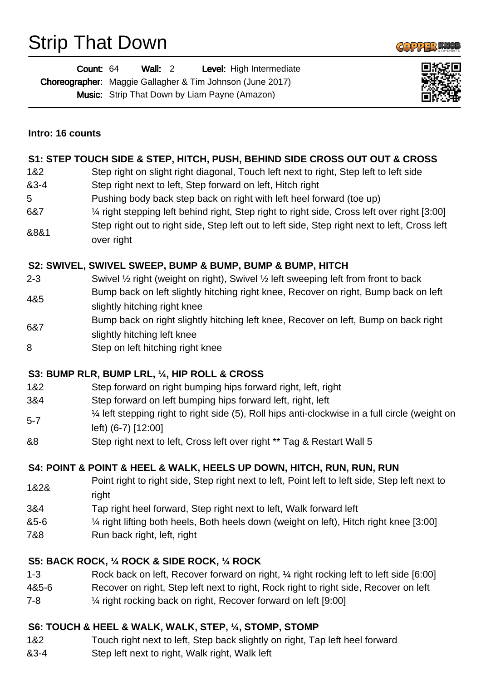# Strip That Down



| <b>Count: 64</b> | Wall: $2$ | Level: High Intermediate                                         |
|------------------|-----------|------------------------------------------------------------------|
|                  |           | <b>Choreographer:</b> Maggie Gallagher & Tim Johnson (June 2017) |
|                  |           | <b>Music:</b> Strip That Down by Liam Payne (Amazon)             |



#### **Intro: 16 counts**

#### **S1: STEP TOUCH SIDE & STEP, HITCH, PUSH, BEHIND SIDE CROSS OUT OUT & CROSS**

- 1&2 Step right on slight right diagonal, Touch left next to right, Step left to left side
- &3-4 Step right next to left, Step forward on left, Hitch right
- 5 Pushing body back step back on right with left heel forward (toe up)
- 6&7 ¼ right stepping left behind right, Step right to right side, Cross left over right [3:00]
- &8&1 Step right out to right side, Step left out to left side, Step right next to left, Cross left over right

#### **S2: SWIVEL, SWIVEL SWEEP, BUMP & BUMP, BUMP & BUMP, HITCH**

- 2-3 Swivel ½ right (weight on right), Swivel ½ left sweeping left from front to back Bump back on left slightly hitching right knee, Recover on right, Bump back on left
- 4&5 slightly hitching right knee
- 6&7 Bump back on right slightly hitching left knee, Recover on left, Bump on back right
- slightly hitching left knee
- 8 Step on left hitching right knee

#### **S3: BUMP RLR, BUMP LRL, ¼, HIP ROLL & CROSS**

- 1&2 Step forward on right bumping hips forward right, left, right
- 3&4 Step forward on left bumping hips forward left, right, left
- 5-7 ¼ left stepping right to right side (5), Roll hips anti-clockwise in a full circle (weight on left) (6-7) [12:00]
- &8 Step right next to left, Cross left over right \*\* Tag & Restart Wall 5

#### **S4: POINT & POINT & HEEL & WALK, HEELS UP DOWN, HITCH, RUN, RUN, RUN**

- 1&2& Point right to right side, Step right next to left, Point left to left side, Step left next to right
- 3&4 Tap right heel forward, Step right next to left, Walk forward left
- &5-6 ¼ right lifting both heels, Both heels down (weight on left), Hitch right knee [3:00]
- 7&8 Run back right, left, right

#### **S5: BACK ROCK, ¼ ROCK & SIDE ROCK, ¼ ROCK**

- 1-3 Rock back on left, Recover forward on right, ¼ right rocking left to left side [6:00]
- 4&5-6 Recover on right, Step left next to right, Rock right to right side, Recover on left
- 7-8 ¼ right rocking back on right, Recover forward on left [9:00]

#### **S6: TOUCH & HEEL & WALK, WALK, STEP, ¼, STOMP, STOMP**

- 1&2 Touch right next to left, Step back slightly on right, Tap left heel forward
- &3-4 Step left next to right, Walk right, Walk left